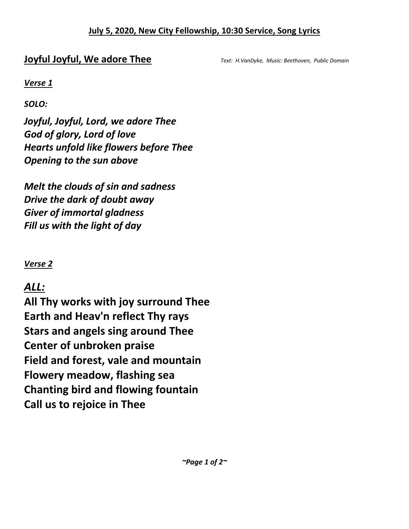## **July 5, 2020, New City Fellowship, 10:30 Service, Song Lyrics**

# **Joyful Joyful, We adore Thee** *Text: H.VanDyke, Music: Beethoven, Public Domain*

*Verse 1*

*SOLO:* 

*Joyful, Joyful, Lord, we adore Thee God of glory, Lord of love Hearts unfold like flowers before Thee Opening to the sun above*

*Melt the clouds of sin and sadness Drive the dark of doubt away Giver of immortal gladness Fill us with the light of day*

# *Verse 2*

# *ALL:*

**All Thy works with joy surround Thee Earth and Heav'n reflect Thy rays Stars and angels sing around Thee Center of unbroken praise Field and forest, vale and mountain Flowery meadow, flashing sea Chanting bird and flowing fountain Call us to rejoice in Thee**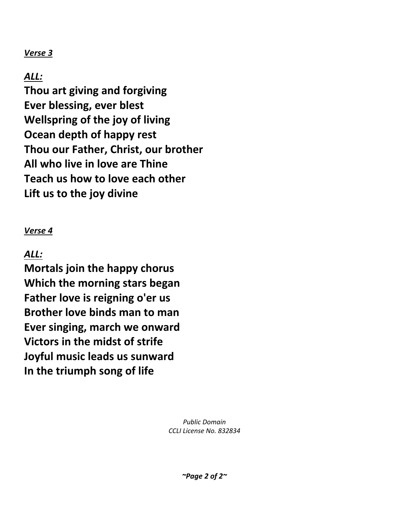# *Verse 3*

# *ALL:*

**Thou art giving and forgiving Ever blessing, ever blest Wellspring of the joy of living Ocean depth of happy rest Thou our Father, Christ, our brother All who live in love are Thine Teach us how to love each other Lift us to the joy divine**

# *Verse 4*

# *ALL:*

**Mortals join the happy chorus Which the morning stars began Father love is reigning o'er us Brother love binds man to man Ever singing, march we onward Victors in the midst of strife Joyful music leads us sunward In the triumph song of life**

> *Public Domain CCLI License No. 832834*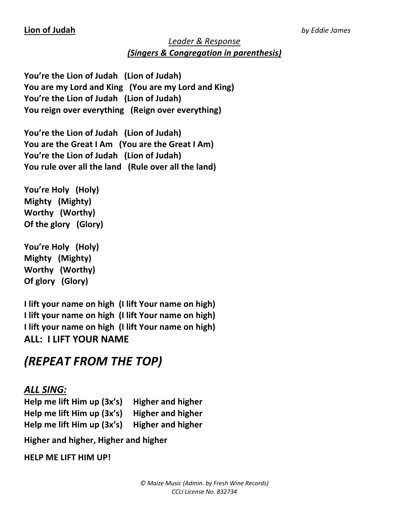### *Leader & Response (Singers & Congregation in parenthesis)*

**You're the Lion of Judah (Lion of Judah) You are my Lord and King (You are my Lord and King) You're the Lion of Judah (Lion of Judah) You reign over everything (Reign over everything)**

**You're the Lion of Judah (Lion of Judah) You are the Great I Am (You are the Great I Am) You're the Lion of Judah (Lion of Judah) You rule over all the land (Rule over all the land)**

**You're Holy (Holy) Mighty (Mighty) Worthy (Worthy) Of the glory (Glory)**

**You're Holy (Holy) Mighty (Mighty) Worthy (Worthy) Of glory (Glory)**

**I lift your name on high (I lift Your name on high) I lift your name on high (I lift Your name on high) I lift your name on high (I lift Your name on high) ALL:****I LIFT YOUR NAME** 

# *(REPEAT FROM THE TOP)*

# *ALL SING:*

**Help me lift Him up (3x's) Higher and higher Help me lift Him up (3x's) Higher and higher Help me lift Him up (3x's) Higher and higher** 

**Higher and higher, Higher and higher**

**HELP ME LIFT HIM UP!** 

*© Maize Music (Admin. by Fresh Wine Records) CCLI License No. 832734*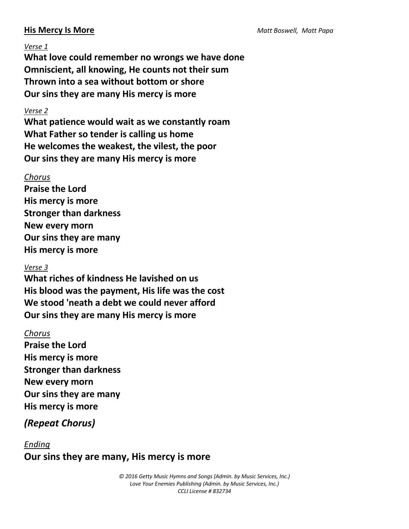#### *Verse 1*

**What love could remember no wrongs we have done Omniscient, all knowing, He counts not their sum Thrown into a sea without bottom or shore Our sins they are many His mercy is more**

#### *Verse 2*

**What patience would wait as we constantly roam What Father so tender is calling us home He welcomes the weakest, the vilest, the poor Our sins they are many His mercy is more**

### *Chorus*

**Praise the Lord His mercy is more Stronger than darkness New every morn Our sins they are many His mercy is more**

#### *Verse 3*

**What riches of kindness He lavished on us His blood was the payment, His life was the cost We stood 'neath a debt we could never afford Our sins they are many His mercy is more**

#### *Chorus*

**Praise the Lord His mercy is more Stronger than darkness New every morn Our sins they are many His mercy is more**

# *(Repeat Chorus)*

### *Ending*

**Our sins they are many, His mercy is more** 

*© 2016 Getty Music Hymns and Songs (Admin. by Music Services, Inc.) Love Your Enemies Publishing (Admin. by Music Services, Inc.) CCLI License # 832734*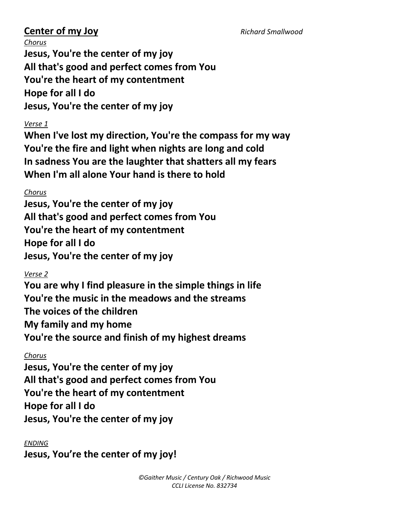# **Center of my Joy** *Richard Smallwood*

## *Chorus*

**Jesus, You're the center of my joy All that's good and perfect comes from You You're the heart of my contentment Hope for all I do Jesus, You're the center of my joy**

## *Verse 1*

**When I've lost my direction, You're the compass for my way You're the fire and light when nights are long and cold In sadness You are the laughter that shatters all my fears When I'm all alone Your hand is there to hold**

## *Chorus*

**Jesus, You're the center of my joy All that's good and perfect comes from You You're the heart of my contentment Hope for all I do Jesus, You're the center of my joy**

# *Verse 2*

**You are why I find pleasure in the simple things in life You're the music in the meadows and the streams The voices of the children My family and my home You're the source and finish of my highest dreams**

# *Chorus*

**Jesus, You're the center of my joy All that's good and perfect comes from You You're the heart of my contentment Hope for all I do Jesus, You're the center of my joy**

## *ENDING*

**Jesus, You're the center of my joy!** 

*©Gaither Music / Century Oak / Richwood Music CCLI License No. 832734*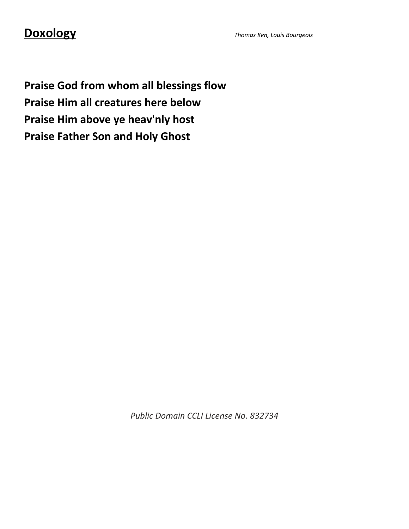# **Doxology** *Thomas Ken, Louis Bourgeois*

**Praise God from whom all blessings flow Praise Him all creatures here below Praise Him above ye heav'nly host Praise Father Son and Holy Ghost**

*Public Domain CCLI License No. 832734*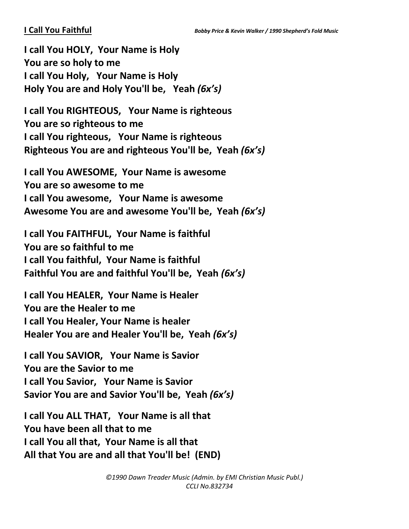**I call You HOLY, Your Name is Holy You are so holy to me I call You Holy, Your Name is Holy Holy You are and Holy You'll be, Yeah** *(6x's)*

**I call You RIGHTEOUS, Your Name is righteous You are so righteous to me I call You righteous, Your Name is righteous Righteous You are and righteous You'll be, Yeah** *(6x's)*

**I call You AWESOME, Your Name is awesome You are so awesome to me I call You awesome, Your Name is awesome Awesome You are and awesome You'll be, Yeah** *(6x's)*

**I call You FAITHFUL, Your Name is faithful You are so faithful to me I call You faithful, Your Name is faithful Faithful You are and faithful You'll be, Yeah** *(6x's)*

**I call You HEALER, Your Name is Healer You are the Healer to me I call You Healer, Your Name is healer Healer You are and Healer You'll be, Yeah** *(6x's)*

**I call You SAVIOR, Your Name is Savior You are the Savior to me I call You Savior, Your Name is Savior Savior You are and Savior You'll be, Yeah** *(6x's)*

**I call You ALL THAT, Your Name is all that You have been all that to me I call You all that, Your Name is all that All that You are and all that You'll be! (END)**

> *©1990 Dawn Treader Music (Admin. by EMI Christian Music Publ.) CCLI No.832734*